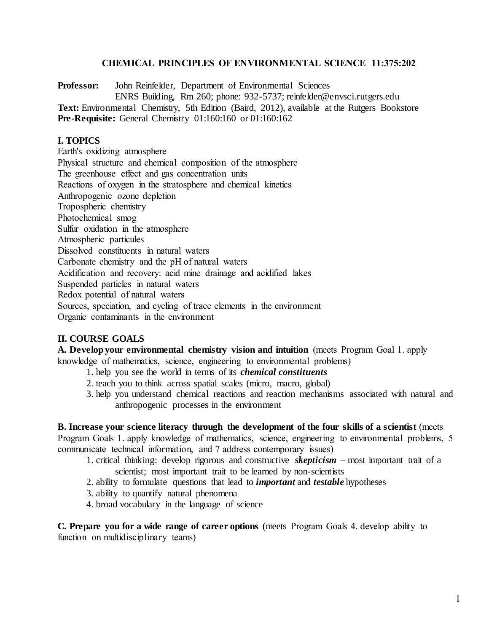### **CHEMICAL PRINCIPLES OF ENVIRONMENTAL SCIENCE 11:375:202**

**Professor:** John Reinfelder, Department of Environmental Sciences ENRS Building, Rm 260; phone: 932-5737; reinfelder@envsci.rutgers.edu Text: Environmental Chemistry, 5th Edition (Baird, 2012), available at the Rutgers Bookstore **Pre-Requisite:** General Chemistry 01:160:160 or 01:160:162

### **I. TOPICS**

Earth's oxidizing atmosphere Physical structure and chemical composition of the atmosphere The greenhouse effect and gas concentration units Reactions of oxygen in the stratosphere and chemical kinetics Anthropogenic ozone depletion Tropospheric chemistry Photochemical smog Sulfur oxidation in the atmosphere Atmospheric particules Dissolved constituents in natural waters Carbonate chemistry and the pH of natural waters Acidification and recovery: acid mine drainage and acidified lakes Suspended particles in natural waters Redox potential of natural waters Sources, speciation, and cycling of trace elements in the environment Organic contaminants in the environment

### **II. COURSE GOALS**

**A. Developyour environmental chemistry vision and intuition** (meets Program Goal 1. apply knowledge of mathematics, science, engineering to environmental problems)

- 1. help you see the world in terms of its *chemical constituents*
- 2. teach you to think across spatial scales (micro, macro, global)
- 3. help you understand chemical reactions and reaction mechanisms associated with natural and anthropogenic processes in the environment

**B. Increase your science literacy through the development of the four skills of a scientist** (meets Program Goals 1. apply knowledge of mathematics, science, engineering to environmental problems, 5 communicate technical information, and 7 address contemporary issues)

- 1. critical thinking: develop rigorous and constructive *skepticism* most important trait of a scientist; most important trait to be learned by non-scientists
- 2. ability to formulate questions that lead to *important* and *testable* hypotheses
- 3. ability to quantify natural phenomena
- 4. broad vocabulary in the language of science

**C. Prepare you for a wide range of career options** (meets Program Goals 4. develop ability to function on multidisciplinary teams)